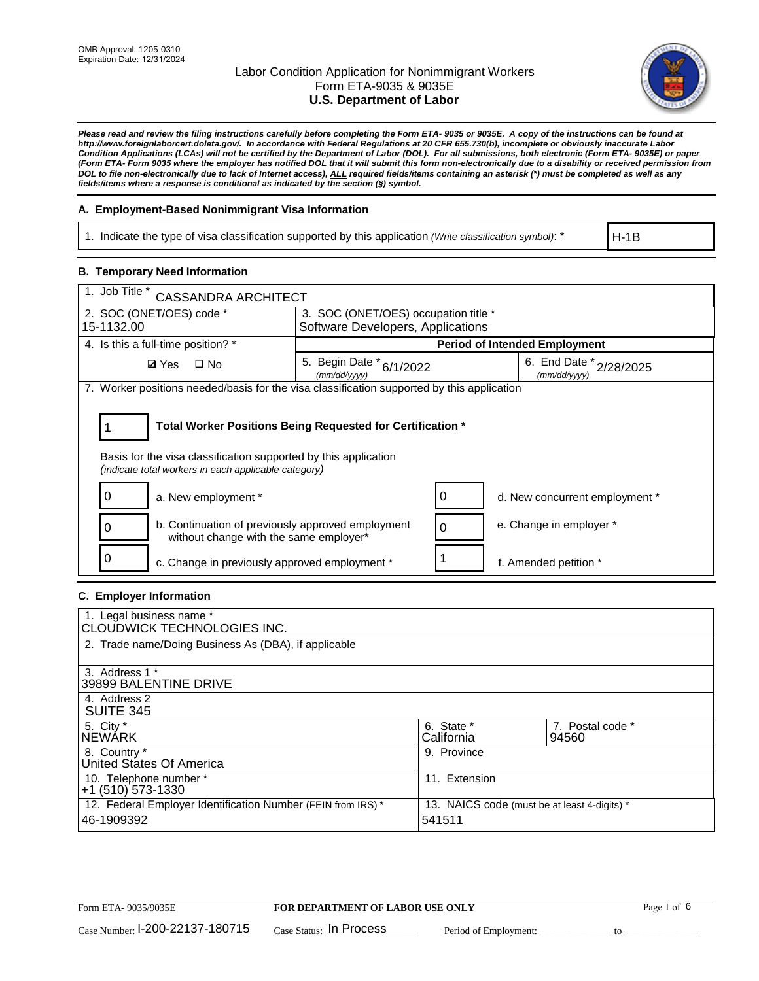

*Please read and review the filing instructions carefully before completing the Form ETA- 9035 or 9035E. A copy of the instructions can be found at [http://www.foreignlaborcert.doleta.gov/.](http://www.foreignlaborcert.doleta.gov/) In accordance with Federal Regulations at 20 CFR 655.730(b), incomplete or obviously inaccurate Labor Condition Applications (LCAs) will not be certified by the Department of Labor (DOL). For all submissions, both electronic (Form ETA- 9035E) or paper (Form ETA- Form 9035 where the employer has notified DOL that it will submit this form non-electronically due to a disability or received permission from DOL to file non-electronically due to lack of Internet access), ALL required fields/items containing an asterisk (\*) must be completed as well as any fields/items where a response is conditional as indicated by the section (§) symbol.* 

### **A. Employment-Based Nonimmigrant Visa Information**

1. Indicate the type of visa classification supported by this application *(Write classification symbol)*: \*

H-1B

## **B. Temporary Need Information**

| 1. Job Title *<br><b>CASSANDRA ARCHITECT</b>                                                                                                                                          |                                          |                                      |                                         |  |  |  |
|---------------------------------------------------------------------------------------------------------------------------------------------------------------------------------------|------------------------------------------|--------------------------------------|-----------------------------------------|--|--|--|
| 2. SOC (ONET/OES) code *                                                                                                                                                              |                                          | 3. SOC (ONET/OES) occupation title * |                                         |  |  |  |
| 15-1132.00                                                                                                                                                                            | Software Developers, Applications        |                                      |                                         |  |  |  |
| 4. Is this a full-time position? *                                                                                                                                                    |                                          | <b>Period of Intended Employment</b> |                                         |  |  |  |
| $\Box$ No<br><b>Ø</b> Yes                                                                                                                                                             | 5. Begin Date * 6/1/2022<br>(mm/dd/yyyy) |                                      | 6. End Date * 2/28/2025<br>(mm/dd/yyyy) |  |  |  |
| 7. Worker positions needed/basis for the visa classification supported by this application                                                                                            |                                          |                                      |                                         |  |  |  |
| Total Worker Positions Being Requested for Certification *<br>Basis for the visa classification supported by this application<br>(indicate total workers in each applicable category) |                                          |                                      |                                         |  |  |  |
| a. New employment *                                                                                                                                                                   |                                          | 0                                    | d. New concurrent employment *          |  |  |  |
| b. Continuation of previously approved employment<br>without change with the same employer*                                                                                           |                                          | 0                                    | e. Change in employer *                 |  |  |  |
| c. Change in previously approved employment *                                                                                                                                         |                                          |                                      | f. Amended petition *                   |  |  |  |

### **C. Employer Information**

| 1. Legal business name *<br>CLOUDWICK TECHNOLOGIES INC.                                                                              |                          |                           |
|--------------------------------------------------------------------------------------------------------------------------------------|--------------------------|---------------------------|
| 2. Trade name/Doing Business As (DBA), if applicable                                                                                 |                          |                           |
| 3. Address 1 *<br>39899 BALENTINE DRIVE                                                                                              |                          |                           |
| 4. Address 2<br><b>SUITE 345</b>                                                                                                     |                          |                           |
| 5. City *<br><b>NEWARK</b>                                                                                                           | 6. State *<br>California | 7. Postal code *<br>94560 |
| 8. Country *<br>United States Of America                                                                                             | 9. Province              |                           |
| 10. Telephone number *<br>$+1$ (510) 573-1330                                                                                        | 11. Extension            |                           |
| 12. Federal Employer Identification Number (FEIN from IRS) *<br>13. NAICS code (must be at least 4-digits) *<br>541511<br>46-1909392 |                          |                           |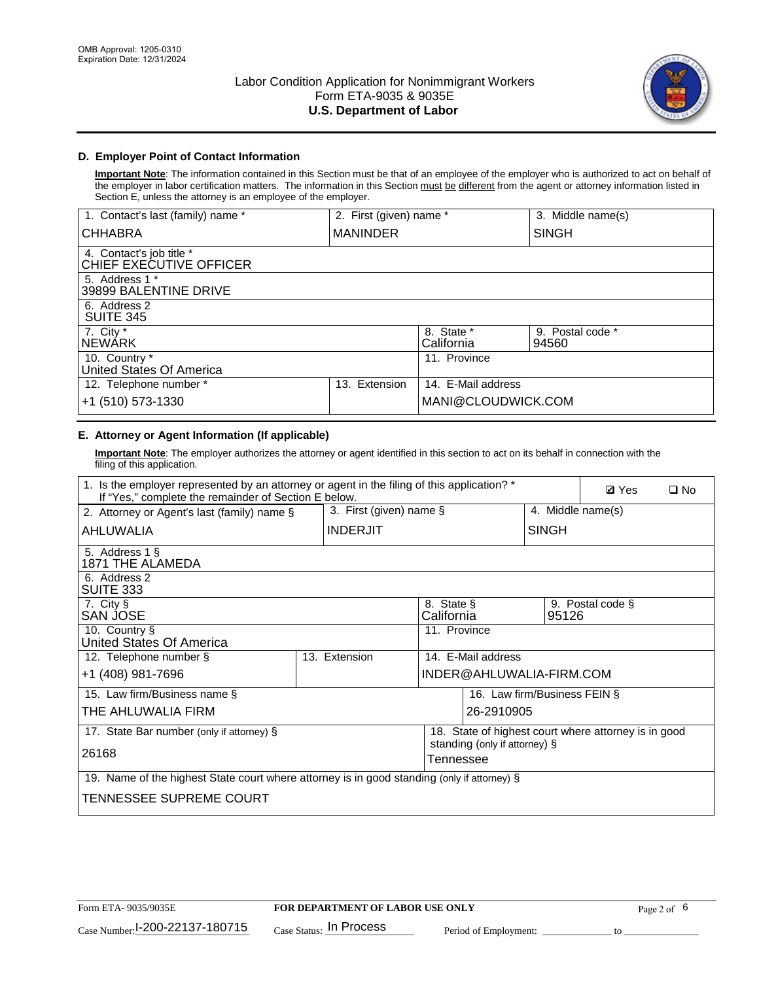

## **D. Employer Point of Contact Information**

**Important Note**: The information contained in this Section must be that of an employee of the employer who is authorized to act on behalf of the employer in labor certification matters. The information in this Section must be different from the agent or attorney information listed in Section E, unless the attorney is an employee of the employer.

| 1. Contact's last (family) name *                   | 2. First (given) name * |                          | 3. Middle name(s)         |
|-----------------------------------------------------|-------------------------|--------------------------|---------------------------|
| <b>CHHABRA</b>                                      | <b>MANINDER</b>         |                          | <b>SINGH</b>              |
| 4. Contact's job title *<br>CHIEF EXECUTIVE OFFICER |                         |                          |                           |
| 5. Address 1 *<br>39899 BALENTINE DRIVE             |                         |                          |                           |
| 6. Address 2<br><b>SUITE 345</b>                    |                         |                          |                           |
| 7. City *<br><b>NEWÁRK</b>                          |                         | 8. State *<br>California | 9. Postal code *<br>94560 |
| 10. Country *<br>United States Of America           |                         | 11. Province             |                           |
| 12. Telephone number *                              | Extension<br>13.        | 14. E-Mail address       |                           |
| +1 (510) 573-1330                                   |                         | MANI@CLOUDWICK.COM       |                           |

# **E. Attorney or Agent Information (If applicable)**

**Important Note**: The employer authorizes the attorney or agent identified in this section to act on its behalf in connection with the filing of this application.

| 1. Is the employer represented by an attorney or agent in the filing of this application? *<br>If "Yes," complete the remainder of Section E below. |               |                 |                                            |                              |                   | <b>Ø</b> Yes                                         | $\Box$ No |
|-----------------------------------------------------------------------------------------------------------------------------------------------------|---------------|-----------------|--------------------------------------------|------------------------------|-------------------|------------------------------------------------------|-----------|
| 3. First (given) name $\S$<br>2. Attorney or Agent's last (family) name §                                                                           |               |                 |                                            |                              | 4. Middle name(s) |                                                      |           |
| AHLUWALIA                                                                                                                                           |               | <b>INDERJIT</b> |                                            |                              | <b>SINGH</b>      |                                                      |           |
| 5. Address 1 §<br>1871 THE ALAMEDA                                                                                                                  |               |                 |                                            |                              |                   |                                                      |           |
| 6. Address 2<br>SUITE 333                                                                                                                           |               |                 |                                            |                              |                   |                                                      |           |
| 7. City §<br>SAN JOSE                                                                                                                               |               |                 | 8. State §<br>California                   |                              | 95126             | 9. Postal code §                                     |           |
| 10. Country §<br>United States Of America                                                                                                           |               |                 | 11. Province                               |                              |                   |                                                      |           |
| 12. Telephone number §                                                                                                                              | 13. Extension |                 |                                            | 14. E-Mail address           |                   |                                                      |           |
| +1 (408) 981-7696                                                                                                                                   |               |                 |                                            | INDER@AHLUWALIA-FIRM.COM     |                   |                                                      |           |
| 15. Law firm/Business name §                                                                                                                        |               |                 |                                            | 16. Law firm/Business FEIN § |                   |                                                      |           |
| THE AHLUWALIA FIRM                                                                                                                                  |               |                 |                                            | 26-2910905                   |                   |                                                      |           |
| 17. State Bar number (only if attorney) §                                                                                                           |               |                 |                                            |                              |                   | 18. State of highest court where attorney is in good |           |
| 26168                                                                                                                                               |               |                 | standing (only if attorney) §<br>Tennessee |                              |                   |                                                      |           |
| 19. Name of the highest State court where attorney is in good standing (only if attorney) §                                                         |               |                 |                                            |                              |                   |                                                      |           |
| TENNESSEE SUPREME COURT                                                                                                                             |               |                 |                                            |                              |                   |                                                      |           |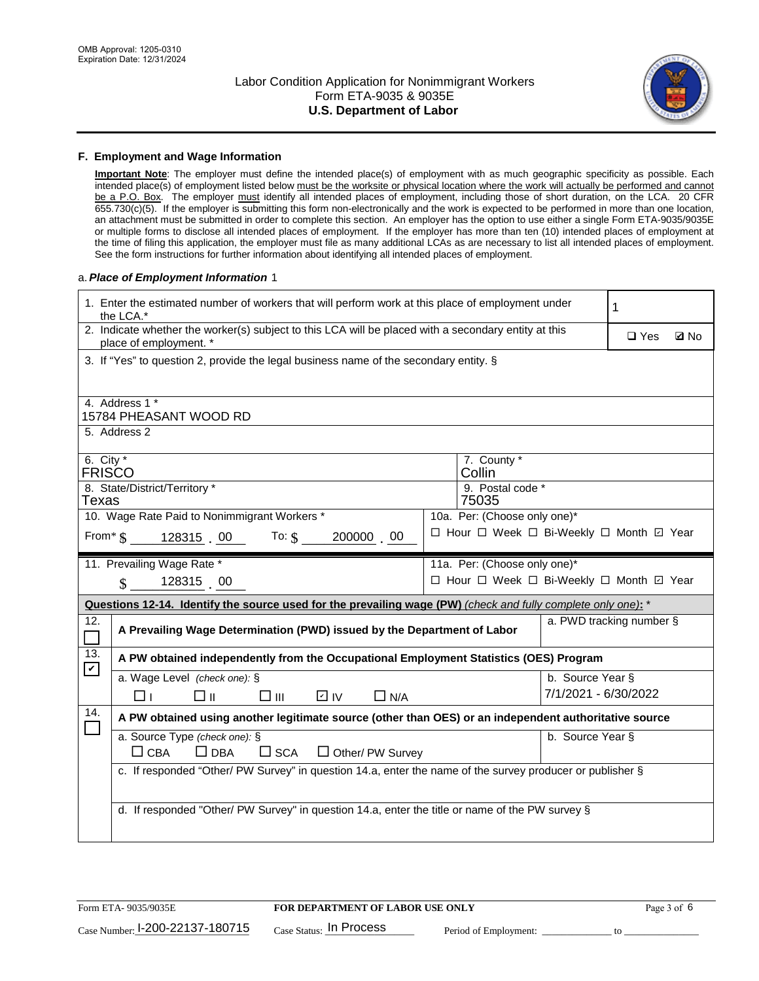

#### **F. Employment and Wage Information**

**Important Note**: The employer must define the intended place(s) of employment with as much geographic specificity as possible. Each intended place(s) of employment listed below must be the worksite or physical location where the work will actually be performed and cannot be a P.O. Box. The employer must identify all intended places of employment, including those of short duration, on the LCA. 20 CFR 655.730(c)(5). If the employer is submitting this form non-electronically and the work is expected to be performed in more than one location, an attachment must be submitted in order to complete this section. An employer has the option to use either a single Form ETA-9035/9035E or multiple forms to disclose all intended places of employment. If the employer has more than ten (10) intended places of employment at the time of filing this application, the employer must file as many additional LCAs as are necessary to list all intended places of employment. See the form instructions for further information about identifying all intended places of employment.

#### a.*Place of Employment Information* 1

|                                                                                                         | 1. Enter the estimated number of workers that will perform work at this place of employment under<br>the LCA.*                 |  | 1                                        |                      |                          |  |  |  |
|---------------------------------------------------------------------------------------------------------|--------------------------------------------------------------------------------------------------------------------------------|--|------------------------------------------|----------------------|--------------------------|--|--|--|
|                                                                                                         | 2. Indicate whether the worker(s) subject to this LCA will be placed with a secondary entity at this<br>place of employment. * |  | $\Box$ Yes                               | <b>Z</b> No          |                          |  |  |  |
|                                                                                                         | 3. If "Yes" to question 2, provide the legal business name of the secondary entity. §                                          |  |                                          |                      |                          |  |  |  |
| 4. Address 1 *                                                                                          |                                                                                                                                |  |                                          |                      |                          |  |  |  |
|                                                                                                         | 15784 PHEASANT WOOD RD<br>5. Address 2                                                                                         |  |                                          |                      |                          |  |  |  |
|                                                                                                         | 6. City $*$<br>7. County *<br><b>FRISCO</b><br>Collin                                                                          |  |                                          |                      |                          |  |  |  |
|                                                                                                         | 8. State/District/Territory *<br>9. Postal code *<br>Texas<br>75035                                                            |  |                                          |                      |                          |  |  |  |
| 10. Wage Rate Paid to Nonimmigrant Workers *<br>10a. Per: (Choose only one)*                            |                                                                                                                                |  |                                          |                      |                          |  |  |  |
| □ Hour □ Week □ Bi-Weekly □ Month ☑ Year<br>From $\frac{1}{3}$ 128315 00 To: $\frac{1}{3}$<br>200000 00 |                                                                                                                                |  |                                          |                      |                          |  |  |  |
|                                                                                                         | 11. Prevailing Wage Rate *                                                                                                     |  | 11a. Per: (Choose only one)*             |                      |                          |  |  |  |
|                                                                                                         | 128315 00<br>$\mathbf{\$}$                                                                                                     |  | □ Hour □ Week □ Bi-Weekly □ Month ☑ Year |                      |                          |  |  |  |
|                                                                                                         | Questions 12-14. Identify the source used for the prevailing wage (PW) (check and fully complete only one): *                  |  |                                          |                      |                          |  |  |  |
| 12.                                                                                                     | A Prevailing Wage Determination (PWD) issued by the Department of Labor                                                        |  |                                          |                      | a. PWD tracking number § |  |  |  |
| 13.<br>$\blacktriangledown$                                                                             | A PW obtained independently from the Occupational Employment Statistics (OES) Program                                          |  |                                          |                      |                          |  |  |  |
|                                                                                                         | a. Wage Level (check one): §                                                                                                   |  |                                          | b. Source Year §     |                          |  |  |  |
|                                                                                                         | $\square$ $\square$<br>⊡ IV<br>$\Box$ N/A<br>□⊥<br>□⊪                                                                          |  |                                          | 7/1/2021 - 6/30/2022 |                          |  |  |  |
| 14.                                                                                                     | A PW obtained using another legitimate source (other than OES) or an independent authoritative source                          |  |                                          |                      |                          |  |  |  |
|                                                                                                         | a. Source Type (check one): §<br>b. Source Year §<br>$\Box$ CBA<br>$\Box$ DBA<br>$\square$ SCA<br>$\Box$ Other/ PW Survey      |  |                                          |                      |                          |  |  |  |
|                                                                                                         | c. If responded "Other/ PW Survey" in question 14.a, enter the name of the survey producer or publisher §                      |  |                                          |                      |                          |  |  |  |
|                                                                                                         |                                                                                                                                |  |                                          |                      |                          |  |  |  |
|                                                                                                         | d. If responded "Other/ PW Survey" in question 14.a, enter the title or name of the PW survey §                                |  |                                          |                      |                          |  |  |  |
|                                                                                                         |                                                                                                                                |  |                                          |                      |                          |  |  |  |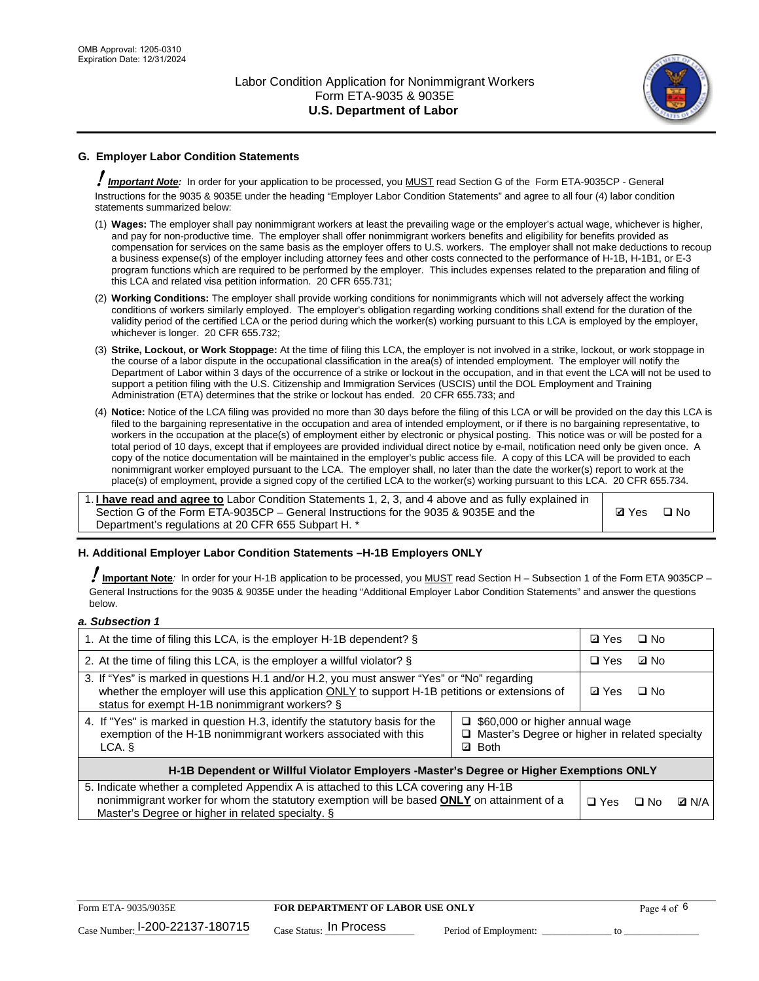

# **G. Employer Labor Condition Statements**

! *Important Note:* In order for your application to be processed, you MUST read Section G of the Form ETA-9035CP - General Instructions for the 9035 & 9035E under the heading "Employer Labor Condition Statements" and agree to all four (4) labor condition statements summarized below:

- (1) **Wages:** The employer shall pay nonimmigrant workers at least the prevailing wage or the employer's actual wage, whichever is higher, and pay for non-productive time. The employer shall offer nonimmigrant workers benefits and eligibility for benefits provided as compensation for services on the same basis as the employer offers to U.S. workers. The employer shall not make deductions to recoup a business expense(s) of the employer including attorney fees and other costs connected to the performance of H-1B, H-1B1, or E-3 program functions which are required to be performed by the employer. This includes expenses related to the preparation and filing of this LCA and related visa petition information. 20 CFR 655.731;
- (2) **Working Conditions:** The employer shall provide working conditions for nonimmigrants which will not adversely affect the working conditions of workers similarly employed. The employer's obligation regarding working conditions shall extend for the duration of the validity period of the certified LCA or the period during which the worker(s) working pursuant to this LCA is employed by the employer, whichever is longer. 20 CFR 655.732;
- (3) **Strike, Lockout, or Work Stoppage:** At the time of filing this LCA, the employer is not involved in a strike, lockout, or work stoppage in the course of a labor dispute in the occupational classification in the area(s) of intended employment. The employer will notify the Department of Labor within 3 days of the occurrence of a strike or lockout in the occupation, and in that event the LCA will not be used to support a petition filing with the U.S. Citizenship and Immigration Services (USCIS) until the DOL Employment and Training Administration (ETA) determines that the strike or lockout has ended. 20 CFR 655.733; and
- (4) **Notice:** Notice of the LCA filing was provided no more than 30 days before the filing of this LCA or will be provided on the day this LCA is filed to the bargaining representative in the occupation and area of intended employment, or if there is no bargaining representative, to workers in the occupation at the place(s) of employment either by electronic or physical posting. This notice was or will be posted for a total period of 10 days, except that if employees are provided individual direct notice by e-mail, notification need only be given once. A copy of the notice documentation will be maintained in the employer's public access file. A copy of this LCA will be provided to each nonimmigrant worker employed pursuant to the LCA. The employer shall, no later than the date the worker(s) report to work at the place(s) of employment, provide a signed copy of the certified LCA to the worker(s) working pursuant to this LCA. 20 CFR 655.734.

1. **I have read and agree to** Labor Condition Statements 1, 2, 3, and 4 above and as fully explained in Section G of the Form ETA-9035CP – General Instructions for the 9035 & 9035E and the Department's regulations at 20 CFR 655 Subpart H. \*

**Ø**Yes ロNo

### **H. Additional Employer Labor Condition Statements –H-1B Employers ONLY**

!**Important Note***:* In order for your H-1B application to be processed, you MUST read Section H – Subsection 1 of the Form ETA 9035CP – General Instructions for the 9035 & 9035E under the heading "Additional Employer Labor Condition Statements" and answer the questions below.

#### *a. Subsection 1*

| 1. At the time of filing this LCA, is the employer H-1B dependent? §                                                                                                                                                                                                    |  |  | □ No      |              |
|-------------------------------------------------------------------------------------------------------------------------------------------------------------------------------------------------------------------------------------------------------------------------|--|--|-----------|--------------|
| 2. At the time of filing this LCA, is the employer a willful violator? $\S$                                                                                                                                                                                             |  |  | ⊡ No      |              |
| 3. If "Yes" is marked in questions H.1 and/or H.2, you must answer "Yes" or "No" regarding<br>whether the employer will use this application ONLY to support H-1B petitions or extensions of<br>status for exempt H-1B nonimmigrant workers? §                          |  |  | $\Box$ No |              |
| 4. If "Yes" is marked in question H.3, identify the statutory basis for the<br>$\Box$ \$60,000 or higher annual wage<br>exemption of the H-1B nonimmigrant workers associated with this<br>□ Master's Degree or higher in related specialty<br><b>Both</b><br>LCA.<br>☑ |  |  |           |              |
| H-1B Dependent or Willful Violator Employers -Master's Degree or Higher Exemptions ONLY                                                                                                                                                                                 |  |  |           |              |
| 5. Indicate whether a completed Appendix A is attached to this LCA covering any H-1B<br>nonimmigrant worker for whom the statutory exemption will be based <b>ONLY</b> on attainment of a<br>Master's Degree or higher in related specialty. §                          |  |  | ⊟ No      | <b>D</b> N/A |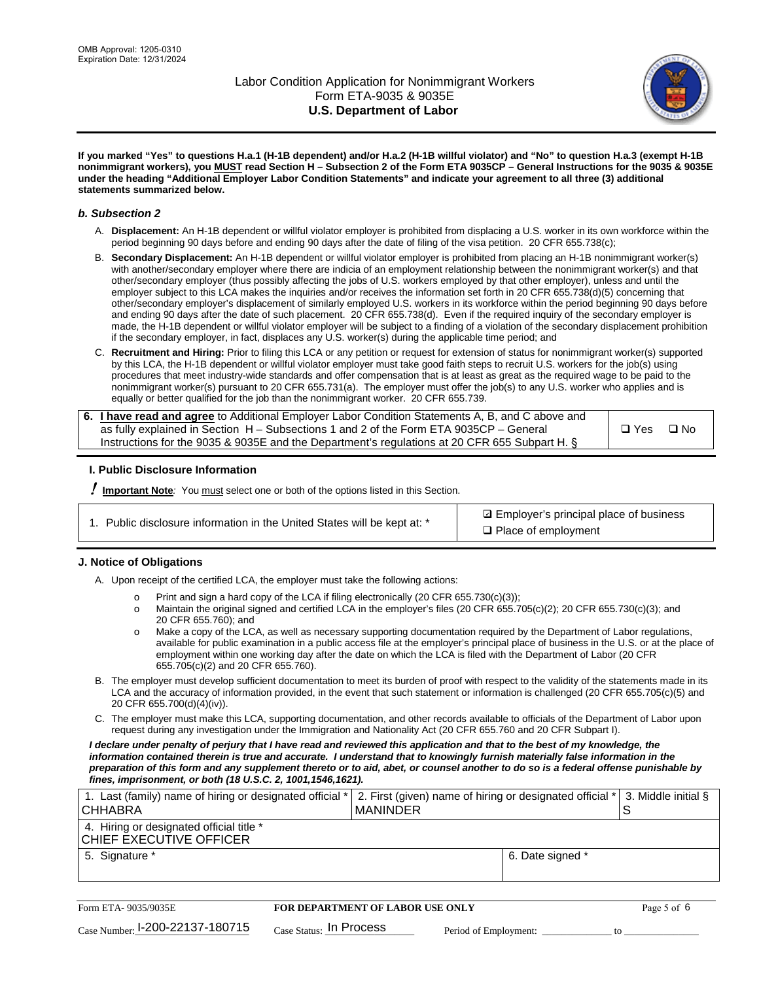

**If you marked "Yes" to questions H.a.1 (H-1B dependent) and/or H.a.2 (H-1B willful violator) and "No" to question H.a.3 (exempt H-1B nonimmigrant workers), you MUST read Section H – Subsection 2 of the Form ETA 9035CP – General Instructions for the 9035 & 9035E under the heading "Additional Employer Labor Condition Statements" and indicate your agreement to all three (3) additional statements summarized below.**

#### *b. Subsection 2*

- A. **Displacement:** An H-1B dependent or willful violator employer is prohibited from displacing a U.S. worker in its own workforce within the period beginning 90 days before and ending 90 days after the date of filing of the visa petition. 20 CFR 655.738(c);
- B. **Secondary Displacement:** An H-1B dependent or willful violator employer is prohibited from placing an H-1B nonimmigrant worker(s) with another/secondary employer where there are indicia of an employment relationship between the nonimmigrant worker(s) and that other/secondary employer (thus possibly affecting the jobs of U.S. workers employed by that other employer), unless and until the employer subject to this LCA makes the inquiries and/or receives the information set forth in 20 CFR 655.738(d)(5) concerning that other/secondary employer's displacement of similarly employed U.S. workers in its workforce within the period beginning 90 days before and ending 90 days after the date of such placement. 20 CFR 655.738(d). Even if the required inquiry of the secondary employer is made, the H-1B dependent or willful violator employer will be subject to a finding of a violation of the secondary displacement prohibition if the secondary employer, in fact, displaces any U.S. worker(s) during the applicable time period; and
- C. **Recruitment and Hiring:** Prior to filing this LCA or any petition or request for extension of status for nonimmigrant worker(s) supported by this LCA, the H-1B dependent or willful violator employer must take good faith steps to recruit U.S. workers for the job(s) using procedures that meet industry-wide standards and offer compensation that is at least as great as the required wage to be paid to the nonimmigrant worker(s) pursuant to 20 CFR 655.731(a). The employer must offer the job(s) to any U.S. worker who applies and is equally or better qualified for the job than the nonimmigrant worker. 20 CFR 655.739.

| 6. I have read and agree to Additional Employer Labor Condition Statements A, B, and C above and |       |           |
|--------------------------------------------------------------------------------------------------|-------|-----------|
| as fully explained in Section H – Subsections 1 and 2 of the Form ETA 9035CP – General           | □ Yes | $\Box$ No |
| Instructions for the 9035 & 9035E and the Department's regulations at 20 CFR 655 Subpart H. §    |       |           |

### **I. Public Disclosure Information**

! **Important Note***:* You must select one or both of the options listed in this Section.

| 1. Public disclosure information in the United States will be kept at: * |  |  |  |  |  |  |
|--------------------------------------------------------------------------|--|--|--|--|--|--|
|--------------------------------------------------------------------------|--|--|--|--|--|--|

**sqrt** Employer's principal place of business □ Place of employment

### **J. Notice of Obligations**

A. Upon receipt of the certified LCA, the employer must take the following actions:

- o Print and sign a hard copy of the LCA if filing electronically (20 CFR 655.730(c)(3));<br>
Maintain the original signed and certified LCA in the employer's files (20 CFR 655.7
- Maintain the original signed and certified LCA in the employer's files (20 CFR 655.705(c)(2); 20 CFR 655.730(c)(3); and 20 CFR 655.760); and
- o Make a copy of the LCA, as well as necessary supporting documentation required by the Department of Labor regulations, available for public examination in a public access file at the employer's principal place of business in the U.S. or at the place of employment within one working day after the date on which the LCA is filed with the Department of Labor (20 CFR 655.705(c)(2) and 20 CFR 655.760).
- B. The employer must develop sufficient documentation to meet its burden of proof with respect to the validity of the statements made in its LCA and the accuracy of information provided, in the event that such statement or information is challenged (20 CFR 655.705(c)(5) and 20 CFR 655.700(d)(4)(iv)).
- C. The employer must make this LCA, supporting documentation, and other records available to officials of the Department of Labor upon request during any investigation under the Immigration and Nationality Act (20 CFR 655.760 and 20 CFR Subpart I).

*I declare under penalty of perjury that I have read and reviewed this application and that to the best of my knowledge, the*  information contained therein is true and accurate. I understand that to knowingly furnish materially false information in the *preparation of this form and any supplement thereto or to aid, abet, or counsel another to do so is a federal offense punishable by fines, imprisonment, or both (18 U.S.C. 2, 1001,1546,1621).*

| 1. Last (family) name of hiring or designated official * 2. First (given) name of hiring or designated official * 3. Middle initial §<br>I CHHABRA | I MANINDER       |  |
|----------------------------------------------------------------------------------------------------------------------------------------------------|------------------|--|
| 4. Hiring or designated official title *<br>CHIEF EXECUTIVE OFFICER                                                                                |                  |  |
| 5. Signature *                                                                                                                                     | 6. Date signed * |  |